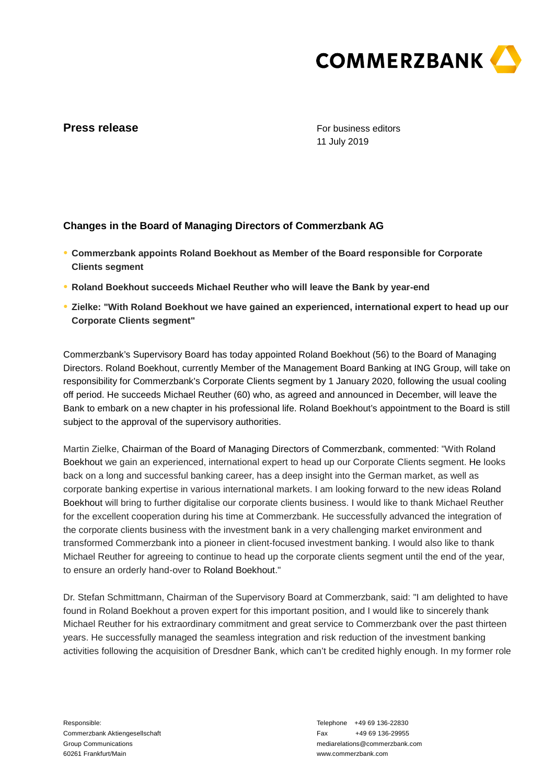

## **Press release**

For business editors 11 July 2019

## **Changes in the Board of Managing Directors of Commerzbank AG**

- **● Commerzbank appoints Roland Boekhout as Member of the Board responsible for Corporate Clients segment**
- **● Roland Boekhout succeeds Michael Reuther who will leave the Bank by year-end**
- **● Zielke: "With Roland Boekhout we have gained an experienced, international expert to head up our Corporate Clients segment"**

Commerzbank's Supervisory Board has today appointed Roland Boekhout (56) to the Board of Managing Directors. Roland Boekhout, currently Member of the Management Board Banking at ING Group, will take on responsibility for Commerzbank's Corporate Clients segment by 1 January 2020, following the usual cooling off period. He succeeds Michael Reuther (60) who, as agreed and announced in December, will leave the Bank to embark on a new chapter in his professional life. Roland Boekhout's appointment to the Board is still subject to the approval of the supervisory authorities.

Martin Zielke, Chairman of the Board of Managing Directors of Commerzbank, commented: "With Roland Boekhout we gain an experienced, international expert to head up our Corporate Clients segment. He looks back on a long and successful banking career, has a deep insight into the German market, as well as corporate banking expertise in various international markets. I am looking forward to the new ideas Roland Boekhout will bring to further digitalise our corporate clients business. I would like to thank Michael Reuther for the excellent cooperation during his time at Commerzbank. He successfully advanced the integration of the corporate clients business with the investment bank in a very challenging market environment and transformed Commerzbank into a pioneer in client-focused investment banking. I would also like to thank Michael Reuther for agreeing to continue to head up the corporate clients segment until the end of the year, to ensure an orderly hand-over to Roland Boekhout."

Dr. Stefan Schmittmann, Chairman of the Supervisory Board at Commerzbank, said: "I am delighted to have found in Roland Boekhout a proven expert for this important position, and I would like to sincerely thank Michael Reuther for his extraordinary commitment and great service to Commerzbank over the past thirteen years. He successfully managed the seamless integration and risk reduction of the investment banking activities following the acquisition of Dresdner Bank, which can't be credited highly enough. In my former role

Responsible: Commerzbank Aktiengesellschaft Group Communications 60261 Frankfurt/Main

Telephone +49 69 136-22830 Fax +49 69 136-29955 mediarelations@commerzbank.com www.commerzbank.com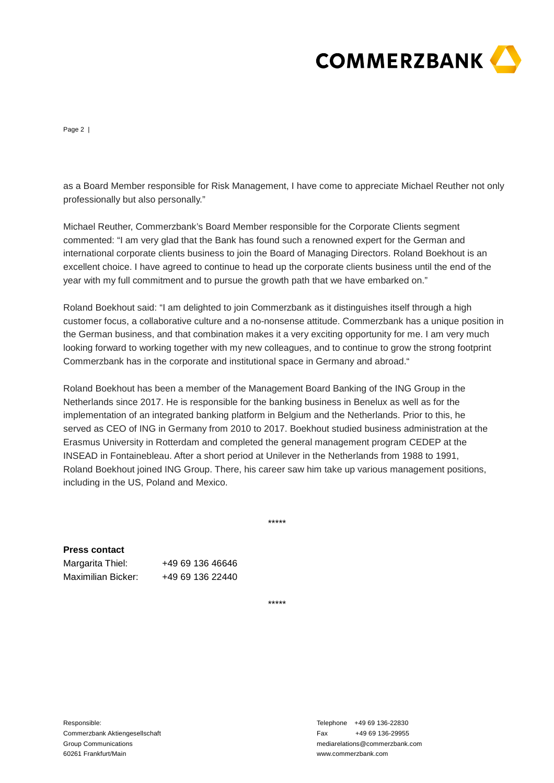

Page 2 |

as a Board Member responsible for Risk Management, I have come to appreciate Michael Reuther not only professionally but also personally."

Michael Reuther, Commerzbank's Board Member responsible for the Corporate Clients segment commented: "I am very glad that the Bank has found such a renowned expert for the German and international corporate clients business to join the Board of Managing Directors. Roland Boekhout is an excellent choice. I have agreed to continue to head up the corporate clients business until the end of the year with my full commitment and to pursue the growth path that we have embarked on."

Roland Boekhout said: "I am delighted to join Commerzbank as it distinguishes itself through a high customer focus, a collaborative culture and a no-nonsense attitude. Commerzbank has a unique position in the German business, and that combination makes it a very exciting opportunity for me. I am very much looking forward to working together with my new colleagues, and to continue to grow the strong footprint Commerzbank has in the corporate and institutional space in Germany and abroad."

Roland Boekhout has been a member of the Management Board Banking of the ING Group in the Netherlands since 2017. He is responsible for the banking business in Benelux as well as for the implementation of an integrated banking platform in Belgium and the Netherlands. Prior to this, he served as CEO of ING in Germany from 2010 to 2017. Boekhout studied business administration at the Erasmus University in Rotterdam and completed the general management program CEDEP at the INSEAD in Fontainebleau. After a short period at Unilever in the Netherlands from 1988 to 1991, Roland Boekhout joined ING Group. There, his career saw him take up various management positions, including in the US, Poland and Mexico.

\*\*\*\*\*

**Press contact** Margarita Thiel: +49 69 136 46646 Maximilian Bicker: +49 69 136 22440

\*\*\*\*\*

Responsible: Commerzbank Aktiengesellschaft Group Communications 60261 Frankfurt/Main

Telephone +49 69 136-22830 Fax +49 69 136-29955 mediarelations@commerzbank.com www.commerzbank.com